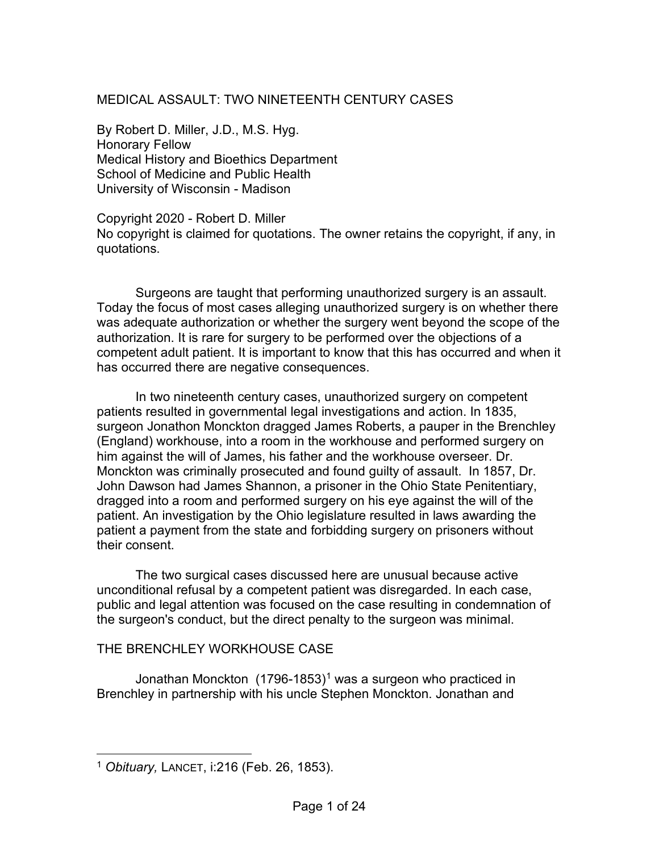## MEDICAL ASSAULT: TWO NINETEENTH CENTURY CASES

By Robert D. Miller, J.D., M.S. Hyg. Honorary Fellow Medical History and Bioethics Department School of Medicine and Public Health University of Wisconsin - Madison

Copyright 2020 - Robert D. Miller No copyright is claimed for quotations. The owner retains the copyright, if any, in quotations.

Surgeons are taught that performing unauthorized surgery is an assault. Today the focus of most cases alleging unauthorized surgery is on whether there was adequate authorization or whether the surgery went beyond the scope of the authorization. It is rare for surgery to be performed over the objections of a competent adult patient. It is important to know that this has occurred and when it has occurred there are negative consequences.

In two nineteenth century cases, unauthorized surgery on competent patients resulted in governmental legal investigations and action. In 1835, surgeon Jonathon Monckton dragged James Roberts, a pauper in the Brenchley (England) workhouse, into a room in the workhouse and performed surgery on him against the will of James, his father and the workhouse overseer. Dr. Monckton was criminally prosecuted and found guilty of assault. In 1857, Dr. John Dawson had James Shannon, a prisoner in the Ohio State Penitentiary, dragged into a room and performed surgery on his eye against the will of the patient. An investigation by the Ohio legislature resulted in laws awarding the patient a payment from the state and forbidding surgery on prisoners without their consent.

The two surgical cases discussed here are unusual because active unconditional refusal by a competent patient was disregarded. In each case, public and legal attention was focused on the case resulting in condemnation of the surgeon's conduct, but the direct penalty to the surgeon was minimal.

## THE BRENCHLEY WORKHOUSE CASE

Jonathan Monckton  $(1796-1853)^1$  $(1796-1853)^1$  $(1796-1853)^1$  was a surgeon who practiced in Brenchley in partnership with his uncle Stephen Monckton. Jonathan and

<span id="page-0-0"></span><sup>1</sup> *Obituary,* LANCET, i:216 (Feb. 26, 1853).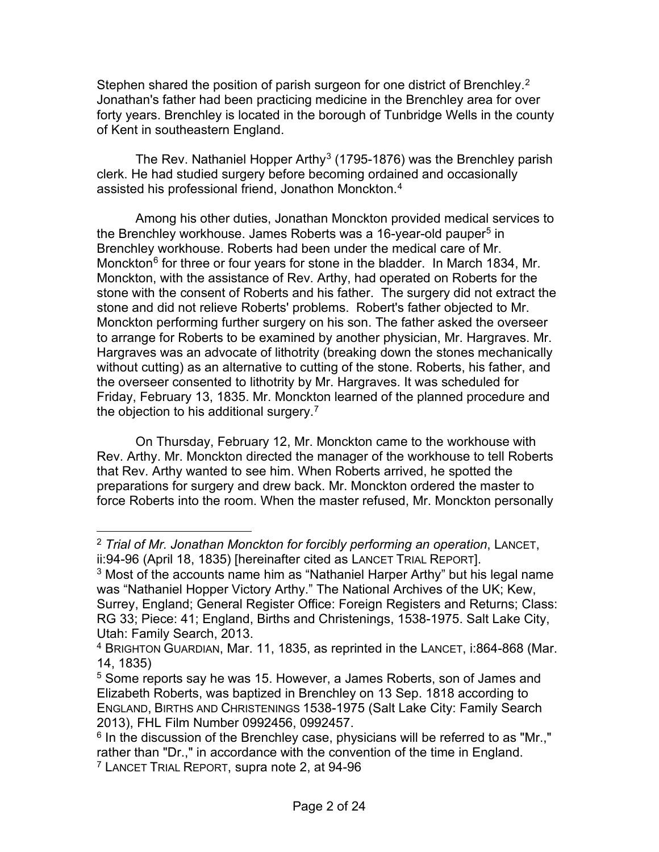Stephen shared the position of parish surgeon for one district of Brenchley.<sup>[2](#page-1-0)</sup> Jonathan's father had been practicing medicine in the Brenchley area for over forty years. Brenchley is located in the borough of Tunbridge Wells in the county of Kent in southeastern England.

The Rev. Nathaniel Hopper Arthy<sup>[3](#page-1-1)</sup> (1795-1876) was the Brenchley parish clerk. He had studied surgery before becoming ordained and occasionally assisted his professional friend, Jonathon Monckton.<sup>[4](#page-1-2)</sup>

Among his other duties, Jonathan Monckton provided medical services to the Brenchley workhouse. James Roberts was a 16-year-old pauper<sup>[5](#page-1-3)</sup> in Brenchley workhouse. Roberts had been under the medical care of Mr. Monckton<sup>[6](#page-1-4)</sup> for three or four years for stone in the bladder. In March 1834, Mr. Monckton, with the assistance of Rev. Arthy, had operated on Roberts for the stone with the consent of Roberts and his father. The surgery did not extract the stone and did not relieve Roberts' problems. Robert's father objected to Mr. Monckton performing further surgery on his son. The father asked the overseer to arrange for Roberts to be examined by another physician, Mr. Hargraves. Mr. Hargraves was an advocate of lithotrity (breaking down the stones mechanically without cutting) as an alternative to cutting of the stone. Roberts, his father, and the overseer consented to lithotrity by Mr. Hargraves. It was scheduled for Friday, February 13, 1835. Mr. Monckton learned of the planned procedure and the objection to his additional surgery.<sup>[7](#page-1-5)</sup>

On Thursday, February 12, Mr. Monckton came to the workhouse with Rev. Arthy. Mr. Monckton directed the manager of the workhouse to tell Roberts that Rev. Arthy wanted to see him. When Roberts arrived, he spotted the preparations for surgery and drew back. Mr. Monckton ordered the master to force Roberts into the room. When the master refused, Mr. Monckton personally

<span id="page-1-0"></span><sup>2</sup> *Trial of Mr. Jonathan Monckton for forcibly performing an operation*, LANCET, ii:94-96 (April 18, 1835) [hereinafter cited as LANCET TRIAL REPORT].

<span id="page-1-1"></span> $3$  Most of the accounts name him as "Nathaniel Harper Arthy" but his legal name was "Nathaniel Hopper Victory Arthy." The National Archives of the UK; Kew, Surrey, England; General Register Office: Foreign Registers and Returns; Class: RG 33; Piece: 41; England, Births and Christenings, 1538-1975. Salt Lake City, Utah: Family Search, 2013.

<span id="page-1-2"></span><sup>4</sup> BRIGHTON GUARDIAN, Mar. 11, 1835, as reprinted in the LANCET, i:864-868 (Mar. 14, 1835)

<span id="page-1-3"></span><sup>5</sup> Some reports say he was 15. However, a James Roberts, son of James and Elizabeth Roberts, was baptized in Brenchley on 13 Sep. 1818 according to ENGLAND, BIRTHS AND CHRISTENINGS 1538-1975 (Salt Lake City: Family Search 2013), FHL Film Number 0992456, 0992457.

<span id="page-1-4"></span> $6$  In the discussion of the Brenchley case, physicians will be referred to as "Mr.," rather than "Dr.," in accordance with the convention of the time in England.

<span id="page-1-5"></span><sup>7</sup> LANCET TRIAL REPORT, supra note 2, at 94-96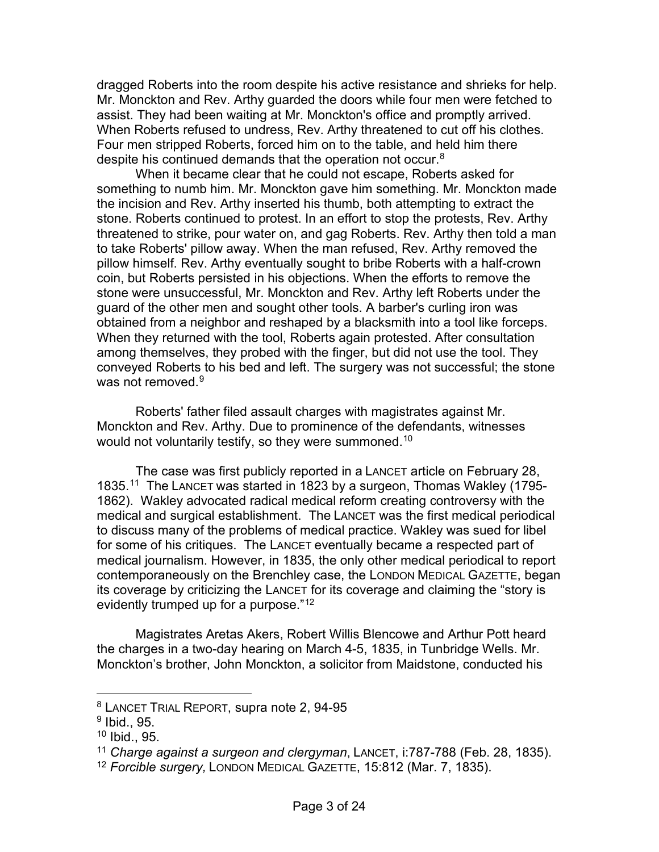dragged Roberts into the room despite his active resistance and shrieks for help. Mr. Monckton and Rev. Arthy guarded the doors while four men were fetched to assist. They had been waiting at Mr. Monckton's office and promptly arrived. When Roberts refused to undress, Rev. Arthy threatened to cut off his clothes. Four men stripped Roberts, forced him on to the table, and held him there despite his continued demands that the operation not occur.<sup>[8](#page-2-0)</sup>

When it became clear that he could not escape, Roberts asked for something to numb him. Mr. Monckton gave him something. Mr. Monckton made the incision and Rev. Arthy inserted his thumb, both attempting to extract the stone. Roberts continued to protest. In an effort to stop the protests, Rev. Arthy threatened to strike, pour water on, and gag Roberts. Rev. Arthy then told a man to take Roberts' pillow away. When the man refused, Rev. Arthy removed the pillow himself. Rev. Arthy eventually sought to bribe Roberts with a half-crown coin, but Roberts persisted in his objections. When the efforts to remove the stone were unsuccessful, Mr. Monckton and Rev. Arthy left Roberts under the guard of the other men and sought other tools. A barber's curling iron was obtained from a neighbor and reshaped by a blacksmith into a tool like forceps. When they returned with the tool, Roberts again protested. After consultation among themselves, they probed with the finger, but did not use the tool. They conveyed Roberts to his bed and left. The surgery was not successful; the stone was not removed.<sup>[9](#page-2-1)</sup>

Roberts' father filed assault charges with magistrates against Mr. Monckton and Rev. Arthy. Due to prominence of the defendants, witnesses would not voluntarily testify, so they were summoned.<sup>[10](#page-2-2)</sup>

The case was first publicly reported in a LANCET article on February 28, 1835.[11](#page-2-3) The LANCET was started in 1823 by a surgeon, Thomas Wakley (1795- 1862). Wakley advocated radical medical reform creating controversy with the medical and surgical establishment. The LANCET was the first medical periodical to discuss many of the problems of medical practice. Wakley was sued for libel for some of his critiques. The LANCET eventually became a respected part of medical journalism. However, in 1835, the only other medical periodical to report contemporaneously on the Brenchley case, the LONDON MEDICAL GAZETTE, began its coverage by criticizing the LANCET for its coverage and claiming the "story is evidently trumped up for a purpose."<sup>[12](#page-2-4)</sup>

Magistrates Aretas Akers, Robert Willis Blencowe and Arthur Pott heard the charges in a two-day hearing on March 4-5, 1835, in Tunbridge Wells. Mr. Monckton's brother, John Monckton, a solicitor from Maidstone, conducted his

<span id="page-2-0"></span><sup>8</sup> LANCET TRIAL REPORT, supra note 2, 94-95

<span id="page-2-1"></span><sup>9</sup> Ibid., 95.

<span id="page-2-2"></span><sup>10</sup> Ibid., 95.

<span id="page-2-3"></span><sup>11</sup> *Charge against a surgeon and clergyman*, LANCET, i:787-788 (Feb. 28, 1835).

<span id="page-2-4"></span><sup>12</sup> *Forcible surgery,* LONDON MEDICAL GAZETTE, 15:812 (Mar. 7, 1835).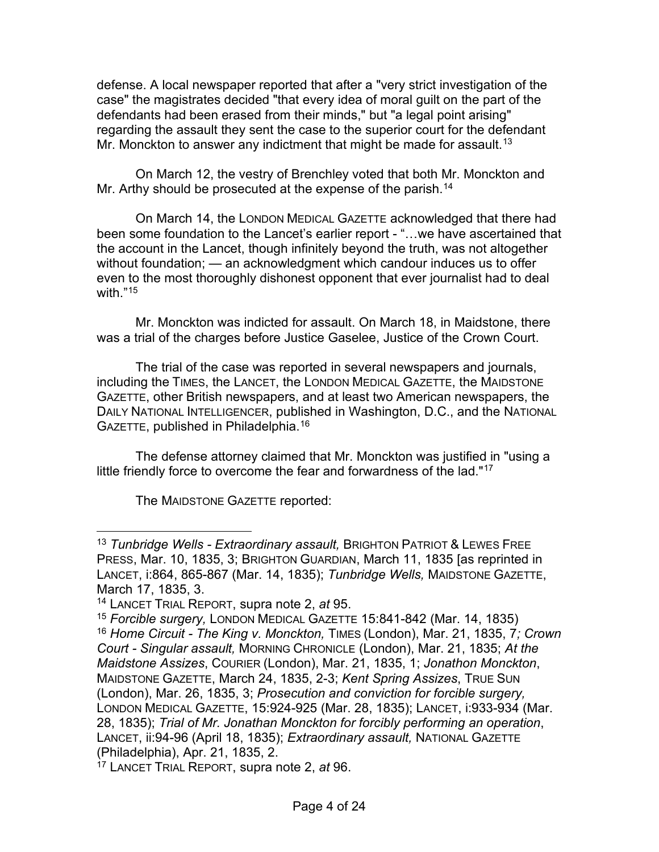defense. A local newspaper reported that after a "very strict investigation of the case" the magistrates decided "that every idea of moral guilt on the part of the defendants had been erased from their minds," but "a legal point arising" regarding the assault they sent the case to the superior court for the defendant Mr. Monckton to answer any indictment that might be made for assault.<sup>[13](#page-3-0)</sup>

On March 12, the vestry of Brenchley voted that both Mr. Monckton and Mr. Arthy should be prosecuted at the expense of the parish.<sup>[14](#page-3-1)</sup>

On March 14, the LONDON MEDICAL GAZETTE acknowledged that there had been some foundation to the Lancet's earlier report - "…we have ascertained that the account in the Lancet, though infinitely beyond the truth, was not altogether without foundation; — an acknowledgment which candour induces us to offer even to the most thoroughly dishonest opponent that ever journalist had to deal with."[15](#page-3-2)

Mr. Monckton was indicted for assault. On March 18, in Maidstone, there was a trial of the charges before Justice Gaselee, Justice of the Crown Court.

The trial of the case was reported in several newspapers and journals, including the TIMES, the LANCET, the LONDON MEDICAL GAZETTE, the MAIDSTONE GAZETTE, other British newspapers, and at least two American newspapers, the DAILY NATIONAL INTELLIGENCER, published in Washington, D.C., and the NATIONAL GAZETTE, published in Philadelphia.[16](#page-3-3)

The defense attorney claimed that Mr. Monckton was justified in "using a little friendly force to overcome the fear and forwardness of the lad."<sup>[17](#page-3-4)</sup>

The MAIDSTONE GAZETTE reported:

<span id="page-3-0"></span><sup>13</sup> *Tunbridge Wells - Extraordinary assault,* BRIGHTON PATRIOT & LEWES FREE PRESS, Mar. 10, 1835, 3; BRIGHTON GUARDIAN, March 11, 1835 [as reprinted in LANCET, i:864, 865-867 (Mar. 14, 1835); *Tunbridge Wells,* MAIDSTONE GAZETTE, March 17, 1835, 3.

<span id="page-3-1"></span><sup>14</sup> LANCET TRIAL REPORT, supra note 2, *at* 95.

<span id="page-3-3"></span><span id="page-3-2"></span><sup>15</sup> *Forcible surgery,* LONDON MEDICAL GAZETTE 15:841-842 (Mar. 14, 1835) <sup>16</sup> *Home Circuit - The King v. Monckton,* TIMES (London), Mar. 21, 1835, 7*; Crown Court - Singular assault,* MORNING CHRONICLE (London), Mar. 21, 1835; *At the Maidstone Assizes*, COURIER (London), Mar. 21, 1835, 1; *Jonathon Monckton*, MAIDSTONE GAZETTE, March 24, 1835, 2-3; *Kent Spring Assizes*, TRUE SUN (London), Mar. 26, 1835, 3; *Prosecution and conviction for forcible surgery,*  LONDON MEDICAL GAZETTE, 15:924-925 (Mar. 28, 1835); LANCET, i:933-934 (Mar. 28, 1835); *Trial of Mr. Jonathan Monckton for forcibly performing an operation*, LANCET, ii:94-96 (April 18, 1835); *Extraordinary assault,* NATIONAL GAZETTE (Philadelphia), Apr. 21, 1835, 2.

<span id="page-3-4"></span><sup>17</sup> LANCET TRIAL REPORT, supra note 2, *at* 96.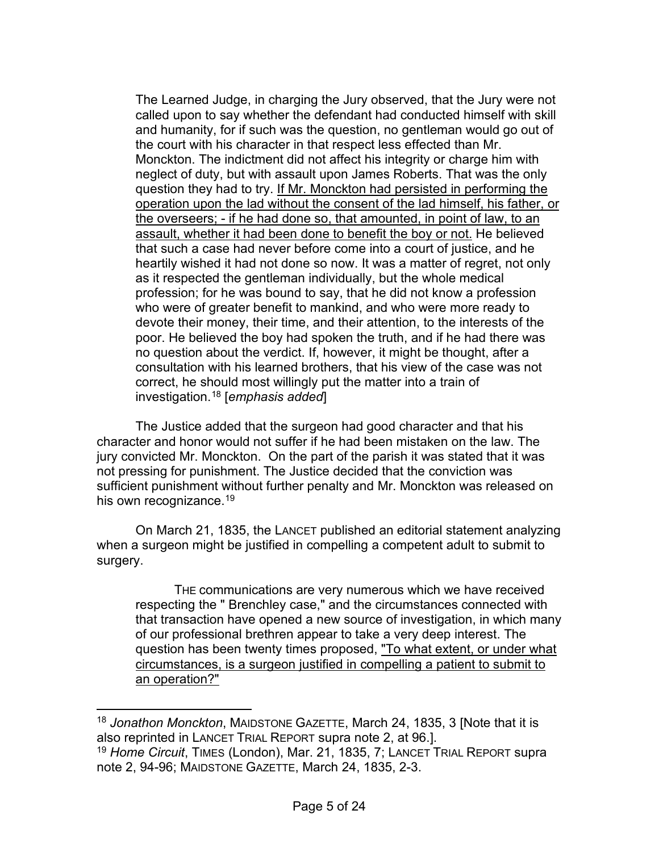The Learned Judge, in charging the Jury observed, that the Jury were not called upon to say whether the defendant had conducted himself with skill and humanity, for if such was the question, no gentleman would go out of the court with his character in that respect less effected than Mr. Monckton. The indictment did not affect his integrity or charge him with neglect of duty, but with assault upon James Roberts. That was the only question they had to try. If Mr. Monckton had persisted in performing the operation upon the lad without the consent of the lad himself, his father, or the overseers; - if he had done so, that amounted, in point of law, to an assault, whether it had been done to benefit the boy or not. He believed that such a case had never before come into a court of justice, and he heartily wished it had not done so now. It was a matter of regret, not only as it respected the gentleman individually, but the whole medical profession; for he was bound to say, that he did not know a profession who were of greater benefit to mankind, and who were more ready to devote their money, their time, and their attention, to the interests of the poor. He believed the boy had spoken the truth, and if he had there was no question about the verdict. If, however, it might be thought, after a consultation with his learned brothers, that his view of the case was not correct, he should most willingly put the matter into a train of investigation.[18](#page-4-0) [*emphasis added*]

The Justice added that the surgeon had good character and that his character and honor would not suffer if he had been mistaken on the law. The jury convicted Mr. Monckton. On the part of the parish it was stated that it was not pressing for punishment. The Justice decided that the conviction was sufficient punishment without further penalty and Mr. Monckton was released on his own recognizance.<sup>[19](#page-4-1)</sup>

On March 21, 1835, the LANCET published an editorial statement analyzing when a surgeon might be justified in compelling a competent adult to submit to surgery.

THE communications are very numerous which we have received respecting the " Brenchley case," and the circumstances connected with that transaction have opened a new source of investigation, in which many of our professional brethren appear to take a very deep interest. The question has been twenty times proposed, "To what extent, or under what circumstances, is a surgeon justified in compelling a patient to submit to an operation?"

<span id="page-4-0"></span><sup>18</sup> *Jonathon Monckton*, MAIDSTONE GAZETTE, March 24, 1835, 3 [Note that it is also reprinted in LANCET TRIAL REPORT supra note 2, at 96.]. <sup>19</sup> *Home Circuit*, TIMES (London), Mar. 21, 1835, 7; LANCET TRIAL REPORT supra

<span id="page-4-1"></span>note 2, 94-96; MAIDSTONE GAZETTE, March 24, 1835, 2-3.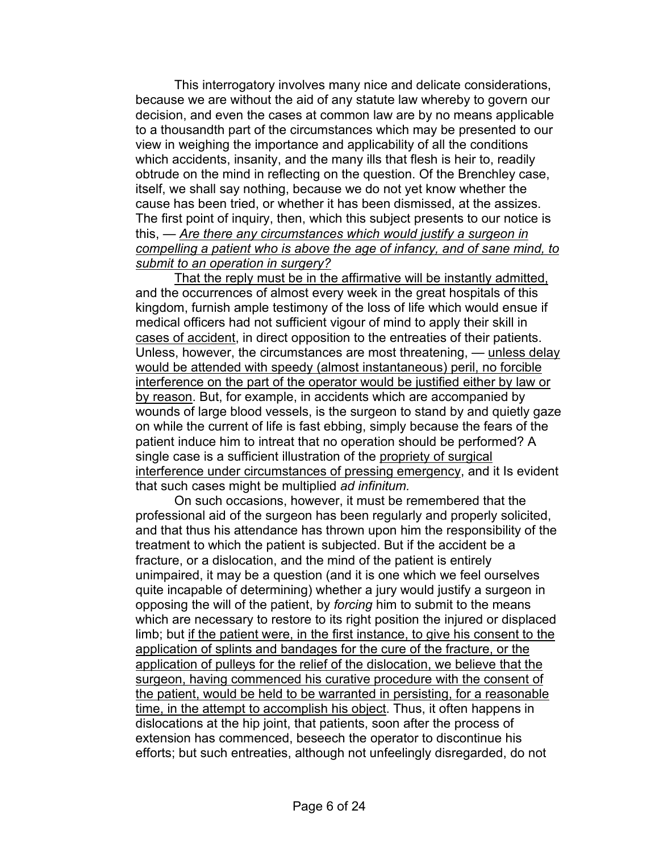This interrogatory involves many nice and delicate considerations, because we are without the aid of any statute law whereby to govern our decision, and even the cases at common law are by no means applicable to a thousandth part of the circumstances which may be presented to our view in weighing the importance and applicability of all the conditions which accidents, insanity, and the many ills that flesh is heir to, readily obtrude on the mind in reflecting on the question. Of the Brenchley case, itself, we shall say nothing, because we do not yet know whether the cause has been tried, or whether it has been dismissed, at the assizes. The first point of inquiry, then, which this subject presents to our notice is this, — *Are there any circumstances which would justify a surgeon in compelling a patient who is above the age of infancy, and of sane mind, to submit to an operation in surgery?* 

That the reply must be in the affirmative will be instantly admitted, and the occurrences of almost every week in the great hospitals of this kingdom, furnish ample testimony of the loss of life which would ensue if medical officers had not sufficient vigour of mind to apply their skill in cases of accident, in direct opposition to the entreaties of their patients. Unless, however, the circumstances are most threatening, — unless delay would be attended with speedy (almost instantaneous) peril, no forcible interference on the part of the operator would be justified either by law or by reason. But, for example, in accidents which are accompanied by wounds of large blood vessels, is the surgeon to stand by and quietly gaze on while the current of life is fast ebbing, simply because the fears of the patient induce him to intreat that no operation should be performed? A single case is a sufficient illustration of the propriety of surgical interference under circumstances of pressing emergency, and it Is evident that such cases might be multiplied *ad infinitum.* 

On such occasions, however, it must be remembered that the professional aid of the surgeon has been regularly and properly solicited, and that thus his attendance has thrown upon him the responsibility of the treatment to which the patient is subjected. But if the accident be a fracture, or a dislocation, and the mind of the patient is entirely unimpaired, it may be a question (and it is one which we feel ourselves quite incapable of determining) whether a jury would justify a surgeon in opposing the will of the patient, by *forcing* him to submit to the means which are necessary to restore to its right position the injured or displaced limb; but if the patient were, in the first instance, to give his consent to the application of splints and bandages for the cure of the fracture, or the application of pulleys for the relief of the dislocation, we believe that the surgeon, having commenced his curative procedure with the consent of the patient, would be held to be warranted in persisting, for a reasonable time, in the attempt to accomplish his object. Thus, it often happens in dislocations at the hip joint, that patients, soon after the process of extension has commenced, beseech the operator to discontinue his efforts; but such entreaties, although not unfeelingly disregarded, do not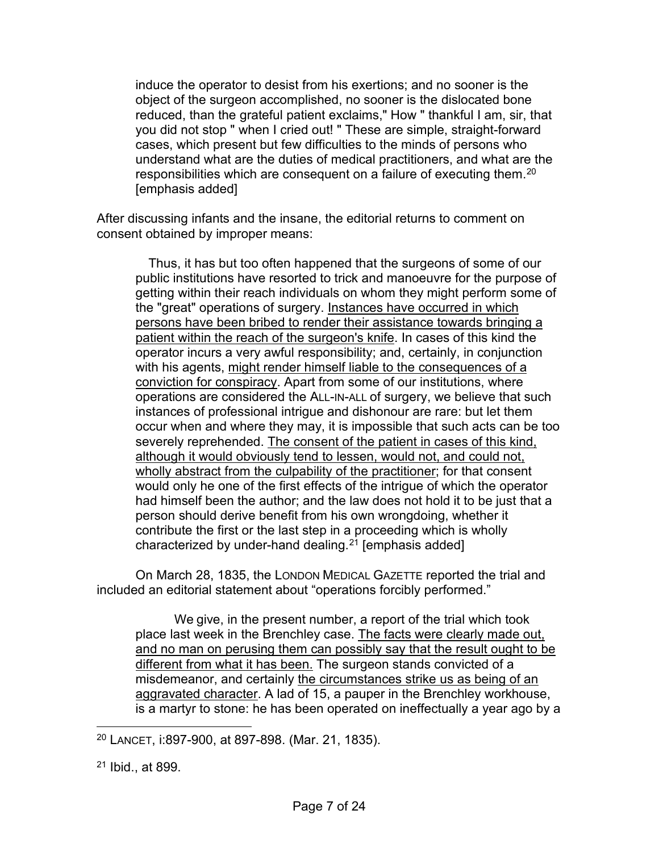induce the operator to desist from his exertions; and no sooner is the object of the surgeon accomplished, no sooner is the dislocated bone reduced, than the grateful patient exclaims," How " thankful I am, sir, that you did not stop " when I cried out! " These are simple, straight-forward cases, which present but few difficulties to the minds of persons who understand what are the duties of medical practitioners, and what are the responsibilities which are consequent on a failure of executing them.<sup>20</sup> [emphasis added]

After discussing infants and the insane, the editorial returns to comment on consent obtained by improper means:

Thus, it has but too often happened that the surgeons of some of our public institutions have resorted to trick and manoeuvre for the purpose of getting within their reach individuals on whom they might perform some of the "great" operations of surgery. Instances have occurred in which persons have been bribed to render their assistance towards bringing a patient within the reach of the surgeon's knife. In cases of this kind the operator incurs a very awful responsibility; and, certainly, in conjunction with his agents, might render himself liable to the consequences of a conviction for conspiracy. Apart from some of our institutions, where operations are considered the ALL-IN-ALL of surgery, we believe that such instances of professional intrigue and dishonour are rare: but let them occur when and where they may, it is impossible that such acts can be too severely reprehended. The consent of the patient in cases of this kind, although it would obviously tend to lessen, would not, and could not, wholly abstract from the culpability of the practitioner; for that consent would only he one of the first effects of the intrigue of which the operator had himself been the author; and the law does not hold it to be just that a person should derive benefit from his own wrongdoing, whether it contribute the first or the last step in a proceeding which is wholly characterized by under-hand dealing.<sup>[21](#page-6-1)</sup> [emphasis added]

On March 28, 1835, the LONDON MEDICAL GAZETTE reported the trial and included an editorial statement about "operations forcibly performed."

We give, in the present number, a report of the trial which took place last week in the Brenchley case. The facts were clearly made out, and no man on perusing them can possibly say that the result ought to be different from what it has been. The surgeon stands convicted of a misdemeanor, and certainly the circumstances strike us as being of an aggravated character. A lad of 15, a pauper in the Brenchley workhouse, is a martyr to stone: he has been operated on ineffectually a year ago by a

<span id="page-6-0"></span><sup>20</sup> LANCET, i:897-900, at 897-898. (Mar. 21, 1835).

<span id="page-6-1"></span><sup>21</sup> Ibid., at 899.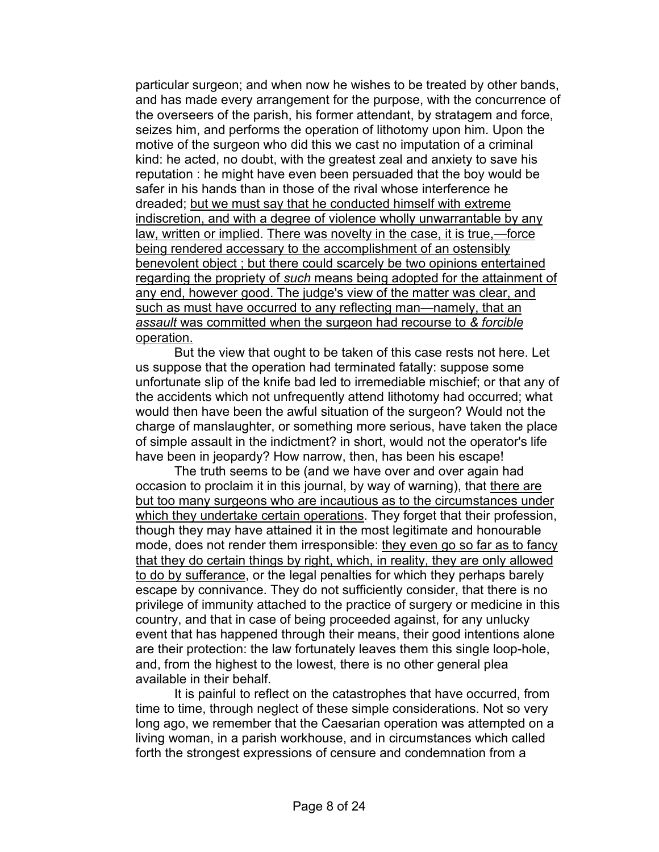particular surgeon; and when now he wishes to be treated by other bands, and has made every arrangement for the purpose, with the concurrence of the overseers of the parish, his former attendant, by stratagem and force, seizes him, and performs the operation of lithotomy upon him. Upon the motive of the surgeon who did this we cast no imputation of a criminal kind: he acted, no doubt, with the greatest zeal and anxiety to save his reputation : he might have even been persuaded that the boy would be safer in his hands than in those of the rival whose interference he dreaded; but we must say that he conducted himself with extreme indiscretion, and with a degree of violence wholly unwarrantable by any law, written or implied. There was novelty in the case, it is true,—force being rendered accessary to the accomplishment of an ostensibly benevolent object ; but there could scarcely be two opinions entertained regarding the propriety of *such* means being adopted for the attainment of any end, however good. The judge's view of the matter was clear, and such as must have occurred to any reflecting man—namely, that an *assault* was committed when the surgeon had recourse to *& forcible*  operation.

But the view that ought to be taken of this case rests not here. Let us suppose that the operation had terminated fatally: suppose some unfortunate slip of the knife bad led to irremediable mischief; or that any of the accidents which not unfrequently attend lithotomy had occurred; what would then have been the awful situation of the surgeon? Would not the charge of manslaughter, or something more serious, have taken the place of simple assault in the indictment? in short, would not the operator's life have been in jeopardy? How narrow, then, has been his escape!

The truth seems to be (and we have over and over again had occasion to proclaim it in this journal, by way of warning), that there are but too many surgeons who are incautious as to the circumstances under which they undertake certain operations. They forget that their profession, though they may have attained it in the most legitimate and honourable mode, does not render them irresponsible: they even go so far as to fancy that they do certain things by right, which, in reality, they are only allowed to do by sufferance, or the legal penalties for which they perhaps barely escape by connivance. They do not sufficiently consider, that there is no privilege of immunity attached to the practice of surgery or medicine in this country, and that in case of being proceeded against, for any unlucky event that has happened through their means, their good intentions alone are their protection: the law fortunately leaves them this single loop-hole, and, from the highest to the lowest, there is no other general plea available in their behalf.

It is painful to reflect on the catastrophes that have occurred, from time to time, through neglect of these simple considerations. Not so very long ago, we remember that the Caesarian operation was attempted on a living woman, in a parish workhouse, and in circumstances which called forth the strongest expressions of censure and condemnation from a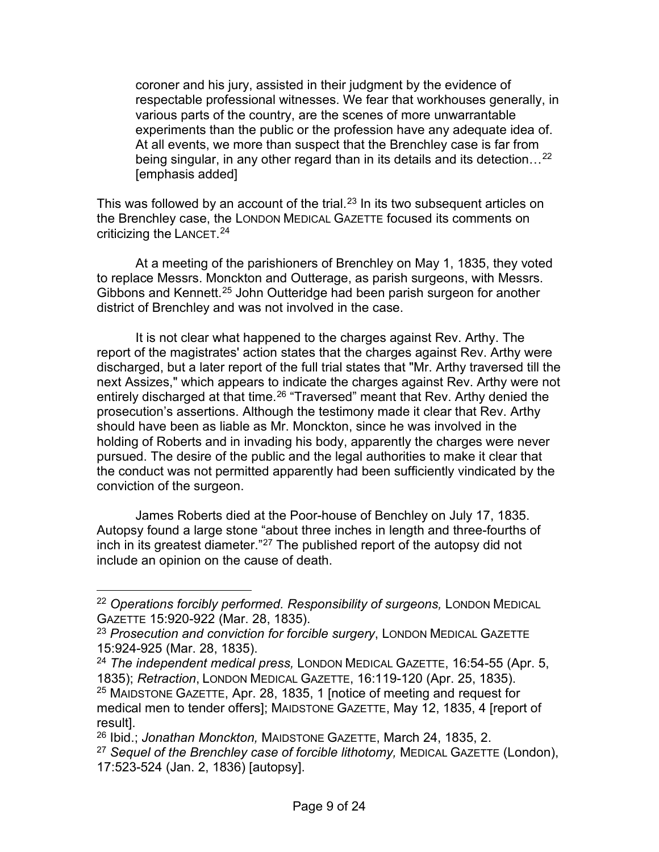coroner and his jury, assisted in their judgment by the evidence of respectable professional witnesses. We fear that workhouses generally, in various parts of the country, are the scenes of more unwarrantable experiments than the public or the profession have any adequate idea of. At all events, we more than suspect that the Brenchley case is far from being singular, in any other regard than in its details and its detection...<sup>[22](#page-8-0)</sup> [emphasis added]

This was followed by an account of the trial.<sup>[23](#page-8-1)</sup> In its two subsequent articles on the Brenchley case, the LONDON MEDICAL GAZETTE focused its comments on criticizing the LANCET. [24](#page-8-2)

At a meeting of the parishioners of Brenchley on May 1, 1835, they voted to replace Messrs. Monckton and Outterage, as parish surgeons, with Messrs. Gibbons and Kennett.[25](#page-8-3) John Outteridge had been parish surgeon for another district of Brenchley and was not involved in the case.

It is not clear what happened to the charges against Rev. Arthy. The report of the magistrates' action states that the charges against Rev. Arthy were discharged, but a later report of the full trial states that "Mr. Arthy traversed till the next Assizes," which appears to indicate the charges against Rev. Arthy were not entirely discharged at that time.<sup>[26](#page-8-4)</sup> "Traversed" meant that Rev. Arthy denied the prosecution's assertions. Although the testimony made it clear that Rev. Arthy should have been as liable as Mr. Monckton, since he was involved in the holding of Roberts and in invading his body, apparently the charges were never pursued. The desire of the public and the legal authorities to make it clear that the conduct was not permitted apparently had been sufficiently vindicated by the conviction of the surgeon.

James Roberts died at the Poor-house of Benchley on July 17, 1835. Autopsy found a large stone "about three inches in length and three-fourths of inch in its greatest diameter."[27](#page-8-5) The published report of the autopsy did not include an opinion on the cause of death.

<span id="page-8-3"></span><sup>25</sup> MAIDSTONE GAZETTE, Apr. 28, 1835, 1 [notice of meeting and request for medical men to tender offers]; MAIDSTONE GAZETTE, May 12, 1835, 4 [report of result].

<span id="page-8-0"></span><sup>&</sup>lt;sup>22</sup> Operations forcibly performed. Responsibility of surgeons, LONDON MEDICAL GAZETTE 15:920-922 (Mar. 28, 1835).

<span id="page-8-1"></span><sup>23</sup> *Prosecution and conviction for forcible surgery*, LONDON MEDICAL GAZETTE 15:924-925 (Mar. 28, 1835).

<span id="page-8-2"></span><sup>24</sup> *The independent medical press,* LONDON MEDICAL GAZETTE, 16:54-55 (Apr. 5, 1835); *Retraction*, LONDON MEDICAL GAZETTE, 16:119-120 (Apr. 25, 1835).

<span id="page-8-4"></span><sup>26</sup> Ibid.; *Jonathan Monckton,* MAIDSTONE GAZETTE, March 24, 1835, 2.

<span id="page-8-5"></span><sup>27</sup> *Sequel of the Brenchley case of forcible lithotomy,* MEDICAL GAZETTE (London), 17:523-524 (Jan. 2, 1836) [autopsy].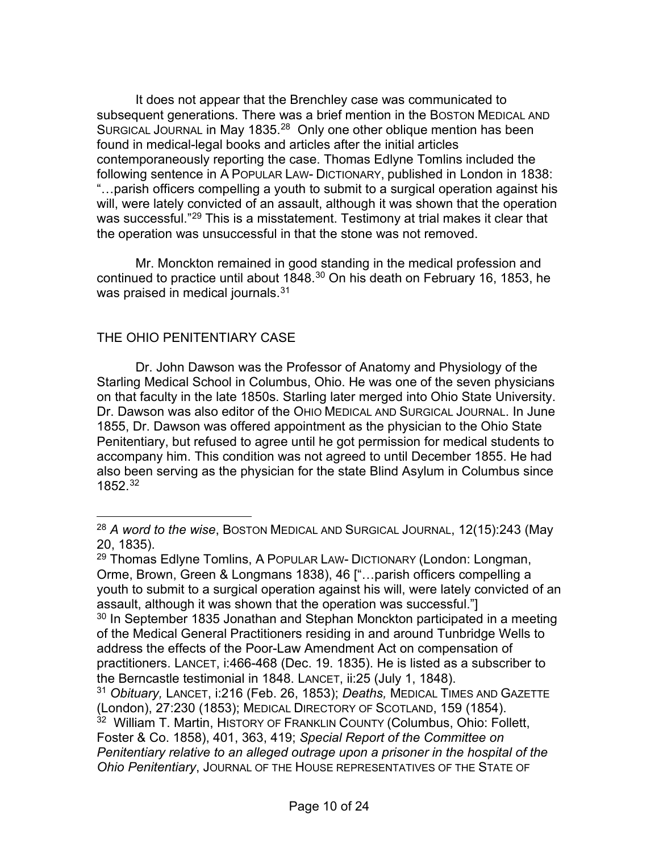It does not appear that the Brenchley case was communicated to subsequent generations. There was a brief mention in the BOSTON MEDICAL AND SURGICAL JOURNAL in May 1835.<sup>[28](#page-9-0)</sup> Only one other oblique mention has been found in medical-legal books and articles after the initial articles contemporaneously reporting the case. Thomas Edlyne Tomlins included the following sentence in A POPULAR LAW- DICTIONARY, published in London in 1838: "…parish officers compelling a youth to submit to a surgical operation against his will, were lately convicted of an assault, although it was shown that the operation was successful."<sup>[29](#page-9-1)</sup> This is a misstatement. Testimony at trial makes it clear that the operation was unsuccessful in that the stone was not removed.

Mr. Monckton remained in good standing in the medical profession and continued to practice until about 1848.<sup>[30](#page-9-2)</sup> On his death on February 16, 1853, he was praised in medical journals.<sup>[31](#page-9-3)</sup>

## THE OHIO PENITENTIARY CASE

Dr. John Dawson was the Professor of Anatomy and Physiology of the Starling Medical School in Columbus, Ohio. He was one of the seven physicians on that faculty in the late 1850s. Starling later merged into Ohio State University. Dr. Dawson was also editor of the OHIO MEDICAL AND SURGICAL JOURNAL. In June 1855, Dr. Dawson was offered appointment as the physician to the Ohio State Penitentiary, but refused to agree until he got permission for medical students to accompany him. This condition was not agreed to until December 1855. He had also been serving as the physician for the state Blind Asylum in Columbus since 1852.[32](#page-9-4)

<span id="page-9-0"></span><sup>28</sup> *A word to the wise*, BOSTON MEDICAL AND SURGICAL JOURNAL, 12(15):243 (May 20, 1835).

<span id="page-9-1"></span><sup>29</sup> Thomas Edlyne Tomlins, A POPULAR LAW- DICTIONARY (London: Longman, Orme, Brown, Green & Longmans 1838), 46 ["…parish officers compelling a youth to submit to a surgical operation against his will, were lately convicted of an assault, although it was shown that the operation was successful."]

<span id="page-9-2"></span><sup>&</sup>lt;sup>30</sup> In September 1835 Jonathan and Stephan Monckton participated in a meeting of the Medical General Practitioners residing in and around Tunbridge Wells to address the effects of the Poor-Law Amendment Act on compensation of practitioners. LANCET, i:466-468 (Dec. 19. 1835). He is listed as a subscriber to the Berncastle testimonial in 1848. LANCET, ii:25 (July 1, 1848).

<span id="page-9-3"></span><sup>31</sup> *Obituary,* LANCET, i:216 (Feb. 26, 1853); *Deaths,* MEDICAL TIMES AND GAZETTE (London), 27:230 (1853); MEDICAL DIRECTORY OF SCOTLAND, 159 (1854).

<span id="page-9-4"></span><sup>32</sup> William T. Martin, HISTORY OF FRANKLIN COUNTY (Columbus, Ohio: Follett, Foster & Co. 1858), 401, 363, 419; *Special Report of the Committee on Penitentiary relative to an alleged outrage upon a prisoner in the hospital of the Ohio Penitentiary*, JOURNAL OF THE HOUSE REPRESENTATIVES OF THE STATE OF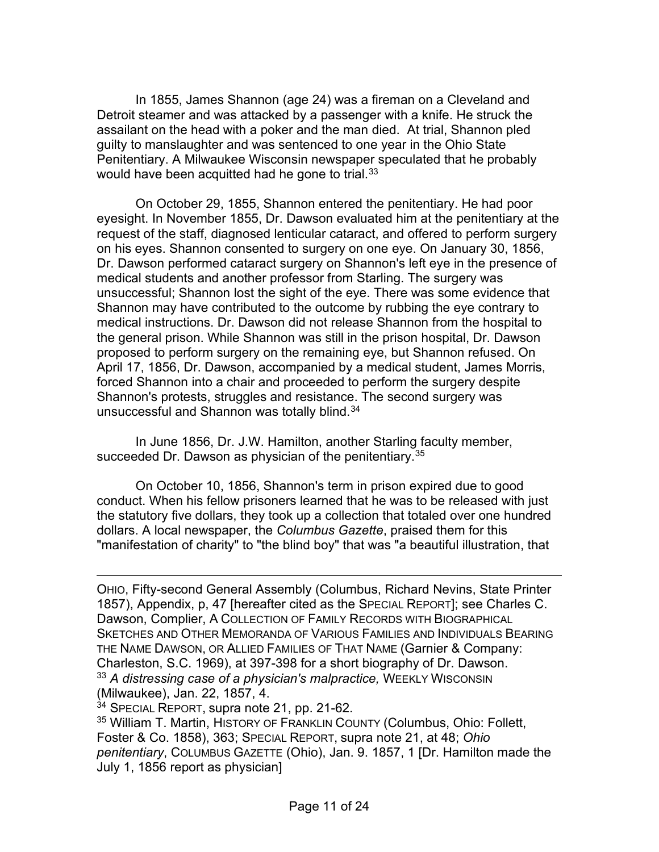In 1855, James Shannon (age 24) was a fireman on a Cleveland and Detroit steamer and was attacked by a passenger with a knife. He struck the assailant on the head with a poker and the man died. At trial, Shannon pled guilty to manslaughter and was sentenced to one year in the Ohio State Penitentiary. A Milwaukee Wisconsin newspaper speculated that he probably would have been acquitted had he gone to trial.  $33$ 

On October 29, 1855, Shannon entered the penitentiary. He had poor eyesight. In November 1855, Dr. Dawson evaluated him at the penitentiary at the request of the staff, diagnosed lenticular cataract, and offered to perform surgery on his eyes. Shannon consented to surgery on one eye. On January 30, 1856, Dr. Dawson performed cataract surgery on Shannon's left eye in the presence of medical students and another professor from Starling. The surgery was unsuccessful; Shannon lost the sight of the eye. There was some evidence that Shannon may have contributed to the outcome by rubbing the eye contrary to medical instructions. Dr. Dawson did not release Shannon from the hospital to the general prison. While Shannon was still in the prison hospital, Dr. Dawson proposed to perform surgery on the remaining eye, but Shannon refused. On April 17, 1856, Dr. Dawson, accompanied by a medical student, James Morris, forced Shannon into a chair and proceeded to perform the surgery despite Shannon's protests, struggles and resistance. The second surgery was unsuccessful and Shannon was totally blind.[34](#page-10-1)

In June 1856, Dr. J.W. Hamilton, another Starling faculty member, succeeded Dr. Dawson as physician of the penitentiary.<sup>[35](#page-10-2)</sup>

On October 10, 1856, Shannon's term in prison expired due to good conduct. When his fellow prisoners learned that he was to be released with just the statutory five dollars, they took up a collection that totaled over one hundred dollars. A local newspaper, the *Columbus Gazette*, praised them for this "manifestation of charity" to "the blind boy" that was "a beautiful illustration, that

OHIO, Fifty-second General Assembly (Columbus, Richard Nevins, State Printer 1857), Appendix, p, 47 [hereafter cited as the SPECIAL REPORT]; see Charles C. Dawson, Complier, A COLLECTION OF FAMILY RECORDS WITH BIOGRAPHICAL SKETCHES AND OTHER MEMORANDA OF VARIOUS FAMILIES AND INDIVIDUALS BEARING THE NAME DAWSON, OR ALLIED FAMILIES OF THAT NAME (Garnier & Company: Charleston, S.C. 1969), at 397-398 for a short biography of Dr. Dawson. 33 A distressing case of a physician's malpractice, WEEKLY WISCONSIN (Milwaukee), Jan. 22, 1857, 4.

<span id="page-10-1"></span><span id="page-10-0"></span><sup>34</sup> SPECIAL REPORT, supra note 21, pp. 21-62.

<span id="page-10-2"></span><sup>35</sup> William T. Martin, HISTORY OF FRANKLIN COUNTY (Columbus, Ohio: Follett, Foster & Co. 1858), 363; SPECIAL REPORT, supra note 21, at 48; *Ohio penitentiary*, COLUMBUS GAZETTE (Ohio), Jan. 9. 1857, 1 [Dr. Hamilton made the July 1, 1856 report as physician]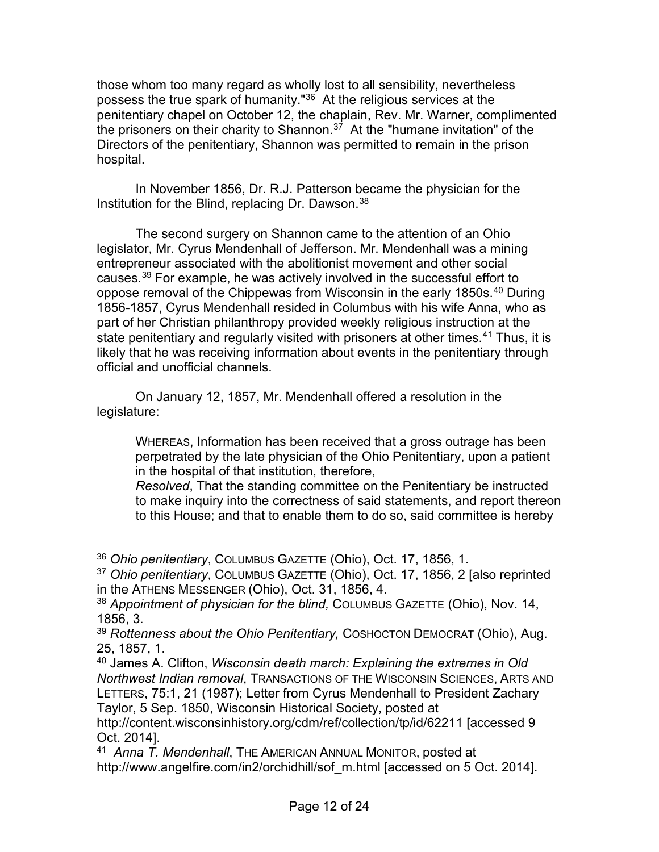those whom too many regard as wholly lost to all sensibility, nevertheless possess the true spark of humanity."<sup>[36](#page-11-0)</sup> At the religious services at the penitentiary chapel on October 12, the chaplain, Rev. Mr. Warner, complimented the prisoners on their charity to Shannon.<sup>37</sup> At the "humane invitation" of the Directors of the penitentiary, Shannon was permitted to remain in the prison hospital.

In November 1856, Dr. R.J. Patterson became the physician for the Institution for the Blind, replacing Dr. Dawson.<sup>[38](#page-11-2)</sup>

The second surgery on Shannon came to the attention of an Ohio legislator, Mr. Cyrus Mendenhall of Jefferson. Mr. Mendenhall was a mining entrepreneur associated with the abolitionist movement and other social causes.[39](#page-11-3) For example, he was actively involved in the successful effort to oppose removal of the Chippewas from Wisconsin in the early 1850s.<sup>[40](#page-11-4)</sup> During 1856-1857, Cyrus Mendenhall resided in Columbus with his wife Anna, who as part of her Christian philanthropy provided weekly religious instruction at the state penitentiary and regularly visited with prisoners at other times.<sup>[41](#page-11-5)</sup> Thus, it is likely that he was receiving information about events in the penitentiary through official and unofficial channels.

On January 12, 1857, Mr. Mendenhall offered a resolution in the legislature:

WHEREAS, Information has been received that a gross outrage has been perpetrated by the late physician of the Ohio Penitentiary, upon a patient in the hospital of that institution, therefore,

*Resolved*, That the standing committee on the Penitentiary be instructed to make inquiry into the correctness of said statements, and report thereon to this House; and that to enable them to do so, said committee is hereby

<span id="page-11-0"></span><sup>36</sup> *Ohio penitentiary*, COLUMBUS GAZETTE (Ohio), Oct. 17, 1856, 1.

<span id="page-11-1"></span><sup>37</sup> *Ohio penitentiary*, COLUMBUS GAZETTE (Ohio), Oct. 17, 1856, 2 [also reprinted in the ATHENS MESSENGER (Ohio), Oct. 31, 1856, 4.

<span id="page-11-2"></span><sup>38</sup> *Appointment of physician for the blind,* COLUMBUS GAZETTE (Ohio), Nov. 14, 1856, 3.

<span id="page-11-3"></span><sup>39</sup> *Rottenness about the Ohio Penitentiary,* COSHOCTON DEMOCRAT (Ohio), Aug. 25, 1857, 1.

<span id="page-11-4"></span><sup>40</sup> James A. Clifton, *Wisconsin death march: Explaining the extremes in Old Northwest Indian removal*, TRANSACTIONS OF THE WISCONSIN SCIENCES, ARTS AND LETTERS, 75:1, 21 (1987); Letter from Cyrus Mendenhall to President Zachary Taylor, 5 Sep. 1850, Wisconsin Historical Society, posted at

http://content.wisconsinhistory.org/cdm/ref/collection/tp/id/62211 [accessed 9 Oct. 2014].

<span id="page-11-5"></span><sup>41</sup> *Anna T. Mendenhall*, THE AMERICAN ANNUAL MONITOR, posted at http://www.angelfire.com/in2/orchidhill/sof\_m.html [accessed on 5 Oct. 2014].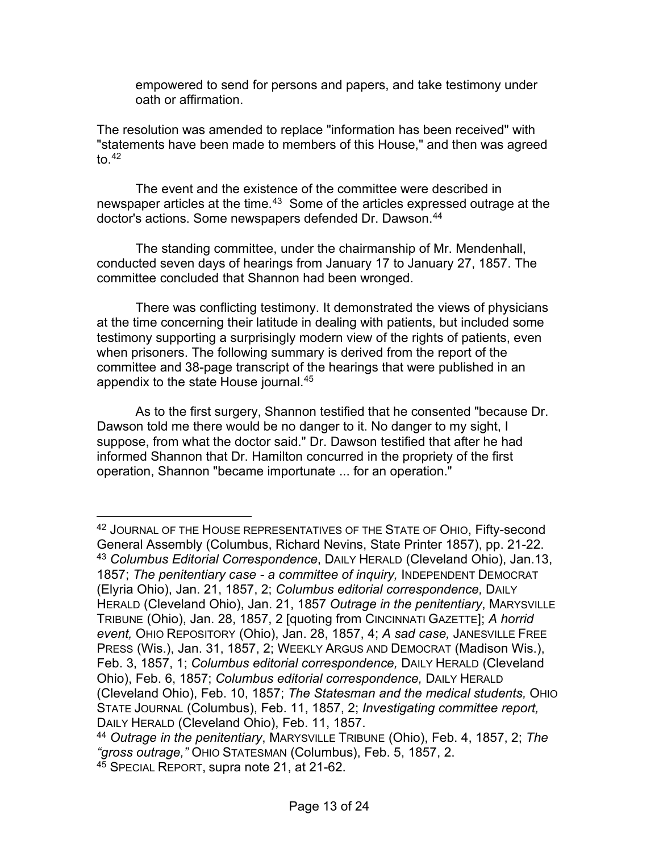empowered to send for persons and papers, and take testimony under oath or affirmation.

The resolution was amended to replace "information has been received" with "statements have been made to members of this House," and then was agreed to. $42$ 

The event and the existence of the committee were described in newspaper articles at the time.<sup>[43](#page-12-1)</sup> Some of the articles expressed outrage at the doctor's actions. Some newspapers defended Dr. Dawson.[44](#page-12-2)

The standing committee, under the chairmanship of Mr. Mendenhall, conducted seven days of hearings from January 17 to January 27, 1857. The committee concluded that Shannon had been wronged.

There was conflicting testimony. It demonstrated the views of physicians at the time concerning their latitude in dealing with patients, but included some testimony supporting a surprisingly modern view of the rights of patients, even when prisoners. The following summary is derived from the report of the committee and 38-page transcript of the hearings that were published in an appendix to the state House journal.[45](#page-12-3)

As to the first surgery, Shannon testified that he consented "because Dr. Dawson told me there would be no danger to it. No danger to my sight, I suppose, from what the doctor said." Dr. Dawson testified that after he had informed Shannon that Dr. Hamilton concurred in the propriety of the first operation, Shannon "became importunate ... for an operation."

<span id="page-12-1"></span><span id="page-12-0"></span><sup>&</sup>lt;sup>42</sup> JOURNAL OF THE HOUSE REPRESENTATIVES OF THE STATE OF OHIO, Fifty-second General Assembly (Columbus, Richard Nevins, State Printer 1857), pp. 21-22. <sup>43</sup> *Columbus Editorial Correspondence*, DAILY HERALD (Cleveland Ohio), Jan.13, 1857; *The penitentiary case - a committee of inquiry,* INDEPENDENT DEMOCRAT (Elyria Ohio), Jan. 21, 1857, 2; *Columbus editorial correspondence,* DAILY HERALD (Cleveland Ohio), Jan. 21, 1857 *Outrage in the penitentiary*, MARYSVILLE TRIBUNE (Ohio), Jan. 28, 1857, 2 [quoting from CINCINNATI GAZETTE]; *A horrid event,* OHIO REPOSITORY (Ohio), Jan. 28, 1857, 4; *A sad case,* JANESVILLE FREE PRESS (Wis.), Jan. 31, 1857, 2; WEEKLY ARGUS AND DEMOCRAT (Madison Wis.), Feb. 3, 1857, 1; *Columbus editorial correspondence,* DAILY HERALD (Cleveland Ohio), Feb. 6, 1857; *Columbus editorial correspondence,* DAILY HERALD (Cleveland Ohio), Feb. 10, 1857; *The Statesman and the medical students,* OHIO STATE JOURNAL (Columbus), Feb. 11, 1857, 2; *Investigating committee report,*  DAILY HERALD (Cleveland Ohio), Feb. 11, 1857.

<span id="page-12-2"></span><sup>44</sup> *Outrage in the penitentiary*, MARYSVILLE TRIBUNE (Ohio), Feb. 4, 1857, 2; *The "gross outrage,"* OHIO STATESMAN (Columbus), Feb. 5, 1857, 2.

<span id="page-12-3"></span><sup>45</sup> SPECIAL REPORT, supra note 21, at 21-62.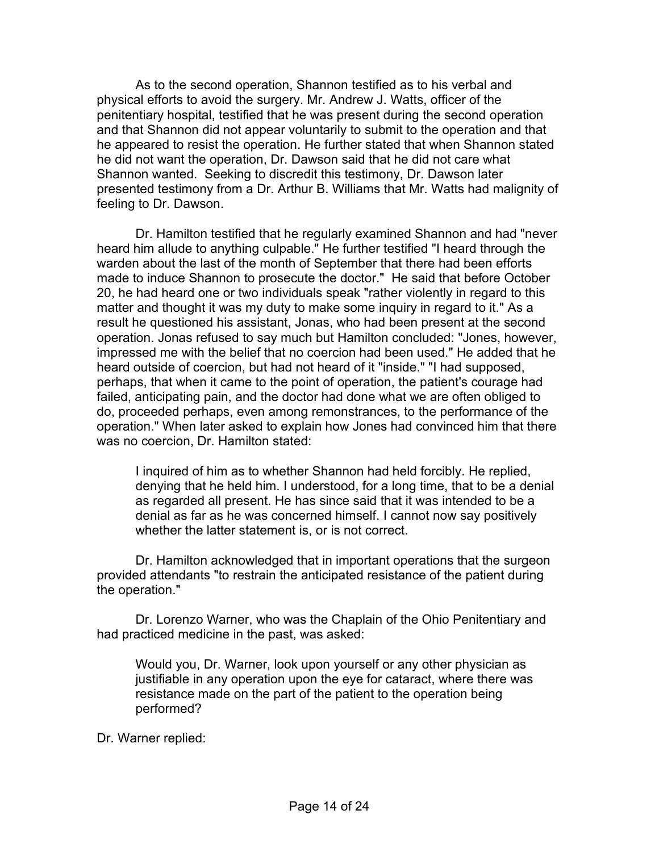As to the second operation, Shannon testified as to his verbal and physical efforts to avoid the surgery. Mr. Andrew J. Watts, officer of the penitentiary hospital, testified that he was present during the second operation and that Shannon did not appear voluntarily to submit to the operation and that he appeared to resist the operation. He further stated that when Shannon stated he did not want the operation, Dr. Dawson said that he did not care what Shannon wanted. Seeking to discredit this testimony, Dr. Dawson later presented testimony from a Dr. Arthur B. Williams that Mr. Watts had malignity of feeling to Dr. Dawson.

Dr. Hamilton testified that he regularly examined Shannon and had "never heard him allude to anything culpable." He further testified "I heard through the warden about the last of the month of September that there had been efforts made to induce Shannon to prosecute the doctor." He said that before October 20, he had heard one or two individuals speak "rather violently in regard to this matter and thought it was my duty to make some inquiry in regard to it." As a result he questioned his assistant, Jonas, who had been present at the second operation. Jonas refused to say much but Hamilton concluded: "Jones, however, impressed me with the belief that no coercion had been used." He added that he heard outside of coercion, but had not heard of it "inside." "I had supposed, perhaps, that when it came to the point of operation, the patient's courage had failed, anticipating pain, and the doctor had done what we are often obliged to do, proceeded perhaps, even among remonstrances, to the performance of the operation." When later asked to explain how Jones had convinced him that there was no coercion, Dr. Hamilton stated:

I inquired of him as to whether Shannon had held forcibly. He replied, denying that he held him. I understood, for a long time, that to be a denial as regarded all present. He has since said that it was intended to be a denial as far as he was concerned himself. I cannot now say positively whether the latter statement is, or is not correct.

Dr. Hamilton acknowledged that in important operations that the surgeon provided attendants "to restrain the anticipated resistance of the patient during the operation."

Dr. Lorenzo Warner, who was the Chaplain of the Ohio Penitentiary and had practiced medicine in the past, was asked:

Would you, Dr. Warner, look upon yourself or any other physician as justifiable in any operation upon the eye for cataract, where there was resistance made on the part of the patient to the operation being performed?

Dr. Warner replied: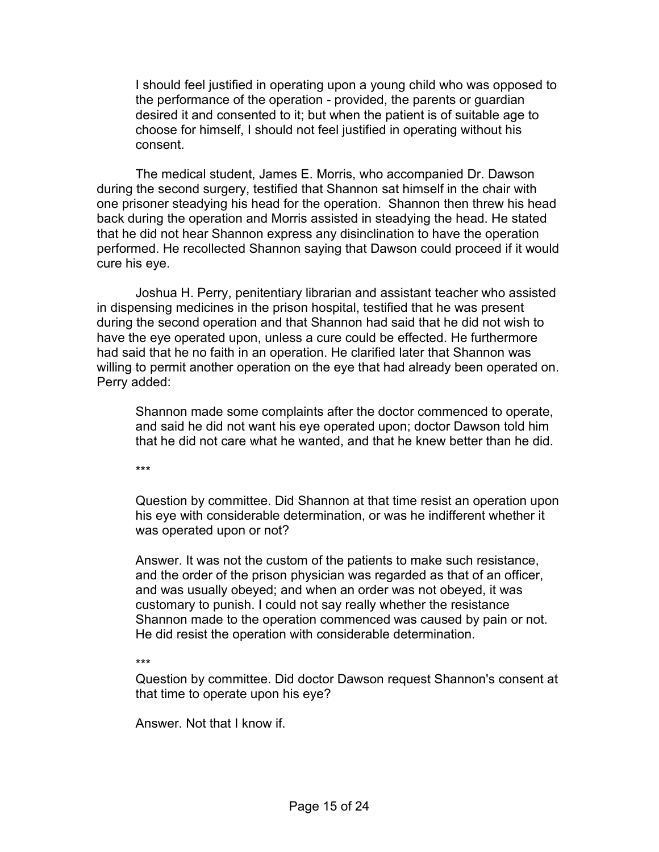I should feel justified in operating upon a young child who was opposed to the performance of the operation - provided, the parents or guardian desired it and consented to it; but when the patient is of suitable age to choose for himself, I should not feel justified in operating without his consent.

The medical student, James E. Morris, who accompanied Dr. Dawson during the second surgery, testified that Shannon sat himself in the chair with one prisoner steadying his head for the operation. Shannon then threw his head back during the operation and Morris assisted in steadying the head. He stated that he did not hear Shannon express any disinclination to have the operation performed. He recollected Shannon saying that Dawson could proceed if it would cure his eye.

Joshua H. Perry, penitentiary librarian and assistant teacher who assisted in dispensing medicines in the prison hospital, testified that he was present during the second operation and that Shannon had said that he did not wish to have the eye operated upon, unless a cure could be effected. He furthermore had said that he no faith in an operation. He clarified later that Shannon was willing to permit another operation on the eye that had already been operated on. Perry added:

Shannon made some complaints after the doctor commenced to operate, and said he did not want his eye operated upon; doctor Dawson told him that he did not care what he wanted, and that he knew better than he did.

\*\*\*

Question by committee. Did Shannon at that time resist an operation upon his eye with considerable determination, or was he indifferent whether it was operated upon or not?

Answer. It was not the custom of the patients to make such resistance, and the order of the prison physician was regarded as that of an officer, and was usually obeyed; and when an order was not obeyed, it was customary to punish. I could not say really whether the resistance Shannon made to the operation commenced was caused by pain or not. He did resist the operation with considerable determination.

\*\*\*

Question by committee. Did doctor Dawson request Shannon's consent at that time to operate upon his eye?

Answer. Not that I know if.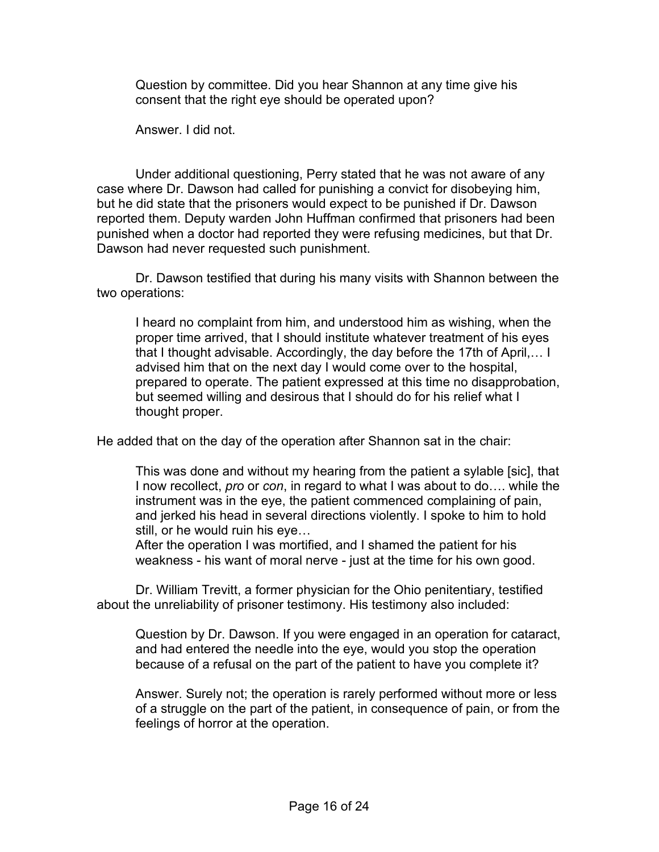Question by committee. Did you hear Shannon at any time give his consent that the right eye should be operated upon?

Answer. I did not.

Under additional questioning, Perry stated that he was not aware of any case where Dr. Dawson had called for punishing a convict for disobeying him, but he did state that the prisoners would expect to be punished if Dr. Dawson reported them. Deputy warden John Huffman confirmed that prisoners had been punished when a doctor had reported they were refusing medicines, but that Dr. Dawson had never requested such punishment.

Dr. Dawson testified that during his many visits with Shannon between the two operations:

I heard no complaint from him, and understood him as wishing, when the proper time arrived, that I should institute whatever treatment of his eyes that I thought advisable. Accordingly, the day before the 17th of April,… I advised him that on the next day I would come over to the hospital, prepared to operate. The patient expressed at this time no disapprobation, but seemed willing and desirous that I should do for his relief what I thought proper.

He added that on the day of the operation after Shannon sat in the chair:

This was done and without my hearing from the patient a sylable [sic], that I now recollect, *pro* or *con*, in regard to what I was about to do…. while the instrument was in the eye, the patient commenced complaining of pain, and jerked his head in several directions violently. I spoke to him to hold still, or he would ruin his eye…

After the operation I was mortified, and I shamed the patient for his weakness - his want of moral nerve - just at the time for his own good.

Dr. William Trevitt, a former physician for the Ohio penitentiary, testified about the unreliability of prisoner testimony. His testimony also included:

Question by Dr. Dawson. If you were engaged in an operation for cataract, and had entered the needle into the eye, would you stop the operation because of a refusal on the part of the patient to have you complete it?

Answer. Surely not; the operation is rarely performed without more or less of a struggle on the part of the patient, in consequence of pain, or from the feelings of horror at the operation.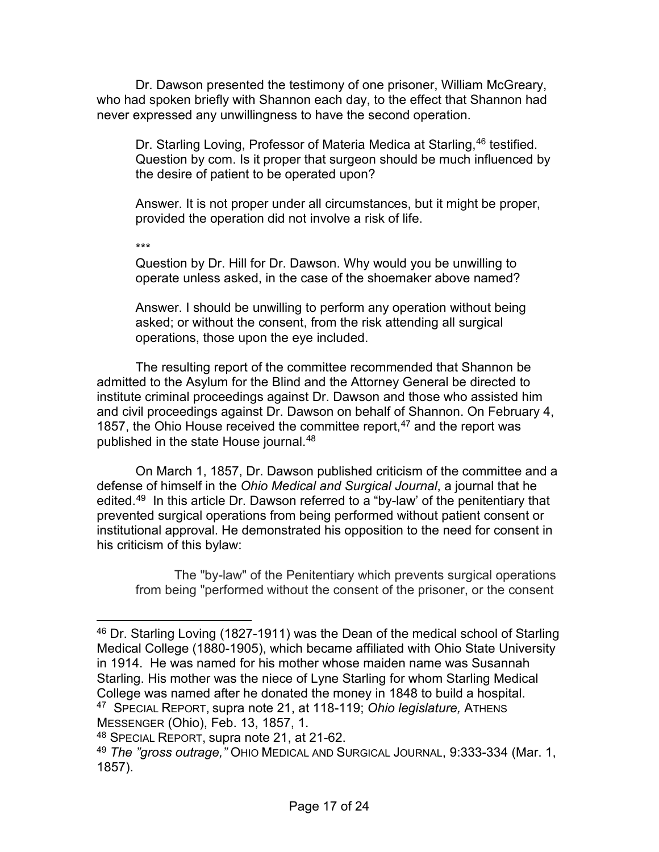Dr. Dawson presented the testimony of one prisoner, William McGreary, who had spoken briefly with Shannon each day, to the effect that Shannon had never expressed any unwillingness to have the second operation.

Dr. Starling Loving, Professor of Materia Medica at Starling, <sup>[46](#page-16-0)</sup> testified. Question by com. Is it proper that surgeon should be much influenced by the desire of patient to be operated upon?

Answer. It is not proper under all circumstances, but it might be proper, provided the operation did not involve a risk of life.

\*\*\*

Question by Dr. Hill for Dr. Dawson. Why would you be unwilling to operate unless asked, in the case of the shoemaker above named?

Answer. I should be unwilling to perform any operation without being asked; or without the consent, from the risk attending all surgical operations, those upon the eye included.

The resulting report of the committee recommended that Shannon be admitted to the Asylum for the Blind and the Attorney General be directed to institute criminal proceedings against Dr. Dawson and those who assisted him and civil proceedings against Dr. Dawson on behalf of Shannon. On February 4, 1857, the Ohio House received the committee report, $47$  and the report was published in the state House journal.<sup>[48](#page-16-2)</sup>

On March 1, 1857, Dr. Dawson published criticism of the committee and a defense of himself in the *Ohio Medical and Surgical Journal*, a journal that he edited.<sup>[49](#page-16-3)</sup> In this article Dr. Dawson referred to a "by-law' of the penitentiary that prevented surgical operations from being performed without patient consent or institutional approval. He demonstrated his opposition to the need for consent in his criticism of this bylaw:

The "by-law" of the Penitentiary which prevents surgical operations from being "performed without the consent of the prisoner, or the consent

<span id="page-16-0"></span><sup>&</sup>lt;sup>46</sup> Dr. Starling Loving (1827-1911) was the Dean of the medical school of Starling Medical College (1880-1905), which became affiliated with Ohio State University in 1914. He was named for his mother whose maiden name was Susannah Starling. His mother was the niece of Lyne Starling for whom Starling Medical College was named after he donated the money in 1848 to build a hospital. 47 SPECIAL REPORT, supra note 21, at 118-119; *Ohio legislature,* ATHENS MESSENGER (Ohio), Feb. 13, 1857, 1.

<span id="page-16-2"></span><span id="page-16-1"></span><sup>48</sup> SPECIAL REPORT, supra note 21, at 21-62.

<span id="page-16-3"></span><sup>49</sup> *The "gross outrage,"* OHIO MEDICAL AND SURGICAL JOURNAL, 9:333-334 (Mar. 1, 1857).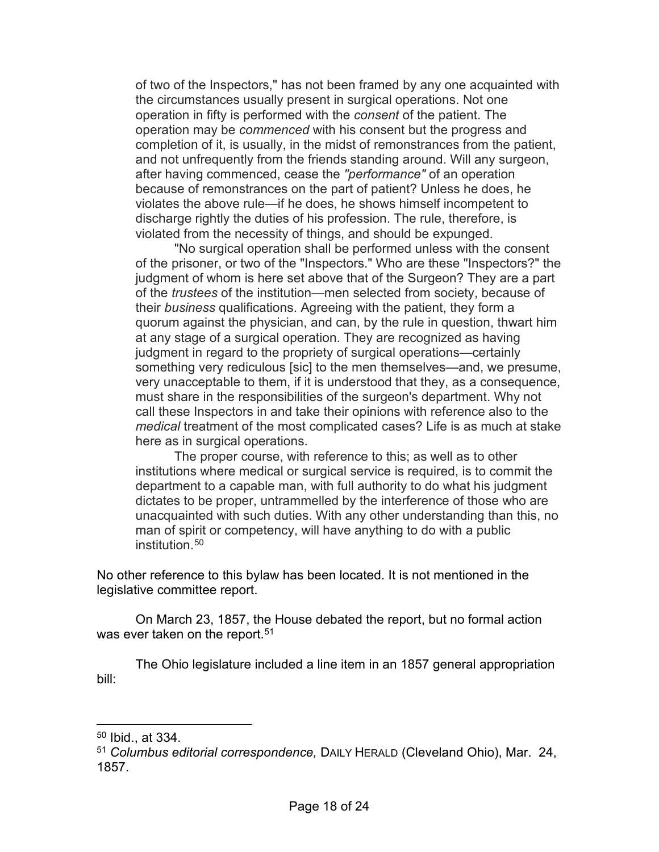of two of the Inspectors," has not been framed by any one acquainted with the circumstances usually present in surgical operations. Not one operation in fifty is performed with the *consent* of the patient. The operation may be *commenced* with his consent but the progress and completion of it, is usually, in the midst of remonstrances from the patient, and not unfrequently from the friends standing around. Will any surgeon, after having commenced, cease the *"performance"* of an operation because of remonstrances on the part of patient? Unless he does, he violates the above rule—if he does, he shows himself incompetent to discharge rightly the duties of his profession. The rule, therefore, is violated from the necessity of things, and should be expunged.

"No surgical operation shall be performed unless with the consent of the prisoner, or two of the "Inspectors." Who are these "Inspectors?" the judgment of whom is here set above that of the Surgeon? They are a part of the *trustees* of the institution—men selected from society, because of their *business* qualifications. Agreeing with the patient, they form a quorum against the physician, and can, by the rule in question, thwart him at any stage of a surgical operation. They are recognized as having judgment in regard to the propriety of surgical operations—certainly something very rediculous [sic] to the men themselves—and, we presume, very unacceptable to them, if it is understood that they, as a consequence, must share in the responsibilities of the surgeon's department. Why not call these Inspectors in and take their opinions with reference also to the *medical* treatment of the most complicated cases? Life is as much at stake here as in surgical operations.

The proper course, with reference to this; as well as to other institutions where medical or surgical service is required, is to commit the department to a capable man, with full authority to do what his judgment dictates to be proper, untrammelled by the interference of those who are unacquainted with such duties. With any other understanding than this, no man of spirit or competency, will have anything to do with a public institution [50](#page-17-0)

No other reference to this bylaw has been located. It is not mentioned in the legislative committee report.

On March 23, 1857, the House debated the report, but no formal action was ever taken on the report.<sup>[51](#page-17-1)</sup>

The Ohio legislature included a line item in an 1857 general appropriation bill:

<span id="page-17-0"></span> $50$  Ibid., at 334.

<span id="page-17-1"></span><sup>51</sup> *Columbus editorial correspondence,* DAILY HERALD (Cleveland Ohio), Mar. 24, 1857.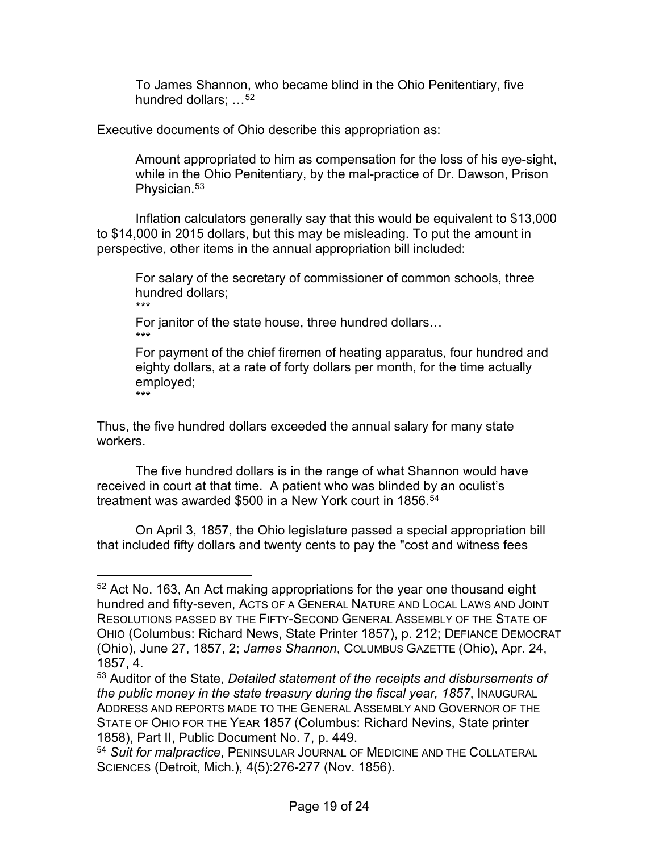To James Shannon, who became blind in the Ohio Penitentiary, five hundred dollars: ...<sup>[52](#page-18-0)</sup>

Executive documents of Ohio describe this appropriation as:

Amount appropriated to him as compensation for the loss of his eye-sight, while in the Ohio Penitentiary, by the mal-practice of Dr. Dawson, Prison Physician.<sup>[53](#page-18-1)</sup>

Inflation calculators generally say that this would be equivalent to \$13,000 to \$14,000 in 2015 dollars, but this may be misleading. To put the amount in perspective, other items in the annual appropriation bill included:

For salary of the secretary of commissioner of common schools, three hundred dollars; \*\*\*

For janitor of the state house, three hundred dollars… \*\*\*

For payment of the chief firemen of heating apparatus, four hundred and eighty dollars, at a rate of forty dollars per month, for the time actually employed; \*\*\*

Thus, the five hundred dollars exceeded the annual salary for many state workers.

The five hundred dollars is in the range of what Shannon would have received in court at that time. A patient who was blinded by an oculist's treatment was awarded \$500 in a New York court in 1856.<sup>[54](#page-18-2)</sup>

On April 3, 1857, the Ohio legislature passed a special appropriation bill that included fifty dollars and twenty cents to pay the "cost and witness fees

<span id="page-18-0"></span> $52$  Act No. 163, An Act making appropriations for the year one thousand eight hundred and fifty-seven, ACTS OF A GENERAL NATURE AND LOCAL LAWS AND JOINT RESOLUTIONS PASSED BY THE FIFTY-SECOND GENERAL ASSEMBLY OF THE STATE OF OHIO (Columbus: Richard News, State Printer 1857), p. 212; DEFIANCE DEMOCRAT (Ohio), June 27, 1857, 2; *James Shannon*, COLUMBUS GAZETTE (Ohio), Apr. 24, 1857, 4.

<span id="page-18-1"></span><sup>53</sup> Auditor of the State, *Detailed statement of the receipts and disbursements of the public money in the state treasury during the fiscal year, 1857*, INAUGURAL ADDRESS AND REPORTS MADE TO THE GENERAL ASSEMBLY AND GOVERNOR OF THE STATE OF OHIO FOR THE YEAR 1857 (Columbus: Richard Nevins, State printer 1858), Part II, Public Document No. 7, p. 449.

<span id="page-18-2"></span><sup>54</sup> *Suit for malpractice*, PENINSULAR JOURNAL OF MEDICINE AND THE COLLATERAL SCIENCES (Detroit, Mich.), 4(5):276-277 (Nov. 1856).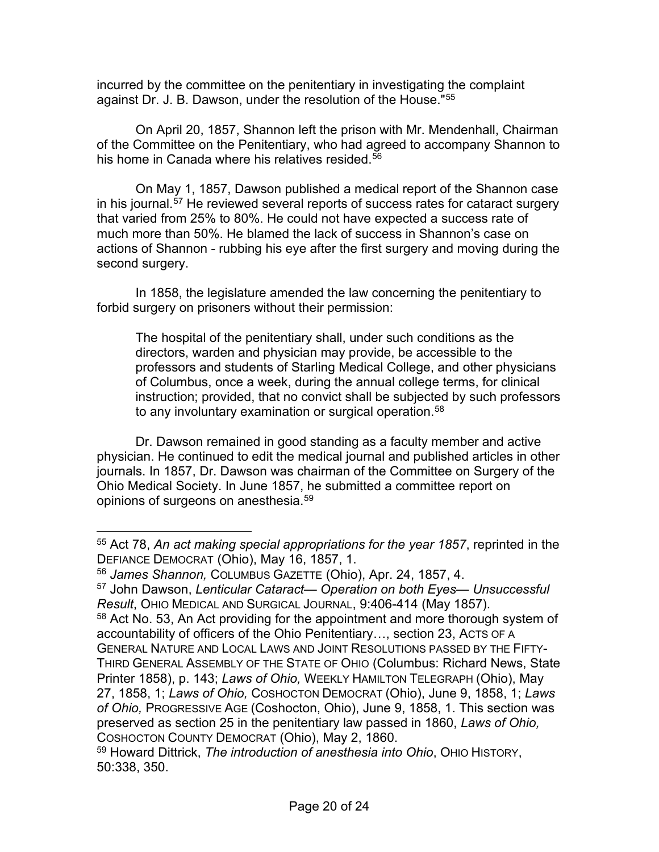incurred by the committee on the penitentiary in investigating the complaint against Dr. J. B. Dawson, under the resolution of the House."[55](#page-19-0)

On April 20, 1857, Shannon left the prison with Mr. Mendenhall, Chairman of the Committee on the Penitentiary, who had agreed to accompany Shannon to his home in Canada where his relatives resided.<sup>[56](#page-19-1)</sup>

On May 1, 1857, Dawson published a medical report of the Shannon case in his journal.[57](#page-19-2) He reviewed several reports of success rates for cataract surgery that varied from 25% to 80%. He could not have expected a success rate of much more than 50%. He blamed the lack of success in Shannon's case on actions of Shannon - rubbing his eye after the first surgery and moving during the second surgery.

In 1858, the legislature amended the law concerning the penitentiary to forbid surgery on prisoners without their permission:

The hospital of the penitentiary shall, under such conditions as the directors, warden and physician may provide, be accessible to the professors and students of Starling Medical College, and other physicians of Columbus, once a week, during the annual college terms, for clinical instruction; provided, that no convict shall be subjected by such professors to any involuntary examination or surgical operation.<sup>[58](#page-19-3)</sup>

Dr. Dawson remained in good standing as a faculty member and active physician. He continued to edit the medical journal and published articles in other journals. In 1857, Dr. Dawson was chairman of the Committee on Surgery of the Ohio Medical Society. In June 1857, he submitted a committee report on opinions of surgeons on anesthesia.[59](#page-19-4)

<span id="page-19-0"></span><sup>55</sup> Act 78, *An act making special appropriations for the year 1857*, reprinted in the DEFIANCE DEMOCRAT (Ohio), May 16, 1857, 1.

<span id="page-19-1"></span><sup>56</sup> *James Shannon,* COLUMBUS GAZETTE (Ohio), Apr. 24, 1857, 4.

<span id="page-19-2"></span><sup>57</sup> John Dawson, *Lenticular Cataract*— *Operation on both Eyes*— *Unsuccessful Result*, OHIO MEDICAL AND SURGICAL JOURNAL, 9:406-414 (May 1857).

<span id="page-19-3"></span><sup>&</sup>lt;sup>58</sup> Act No. 53, An Act providing for the appointment and more thorough system of accountability of officers of the Ohio Penitentiary…, section 23, ACTS OF A GENERAL NATURE AND LOCAL LAWS AND JOINT RESOLUTIONS PASSED BY THE FIFTY-THIRD GENERAL ASSEMBLY OF THE STATE OF OHIO (Columbus: Richard News, State Printer 1858), p. 143; *Laws of Ohio,* WEEKLY HAMILTON TELEGRAPH (Ohio), May 27, 1858, 1; *Laws of Ohio,* COSHOCTON DEMOCRAT (Ohio), June 9, 1858, 1; *Laws of Ohio,* PROGRESSIVE AGE (Coshocton, Ohio), June 9, 1858, 1. This section was preserved as section 25 in the penitentiary law passed in 1860, *Laws of Ohio,*  COSHOCTON COUNTY DEMOCRAT (Ohio), May 2, 1860.

<span id="page-19-4"></span><sup>59</sup> Howard Dittrick, *The introduction of anesthesia into Ohio*, OHIO HISTORY, 50:338, 350.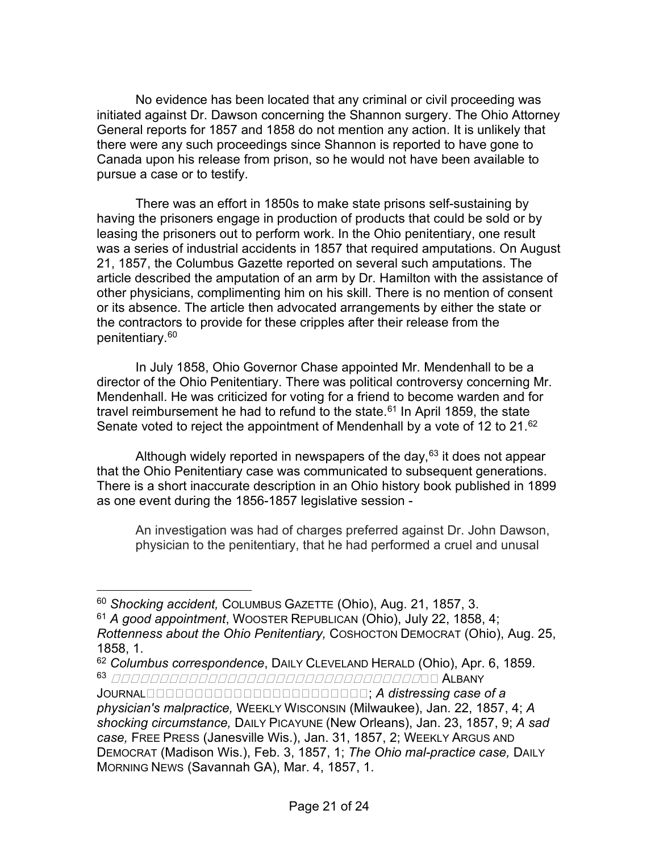No evidence has been located that any criminal or civil proceeding was initiated against Dr. Dawson concerning the Shannon surgery. The Ohio Attorney General reports for 1857 and 1858 do not mention any action. It is unlikely that there were any such proceedings since Shannon is reported to have gone to Canada upon his release from prison, so he would not have been available to pursue a case or to testify.

There was an effort in 1850s to make state prisons self-sustaining by having the prisoners engage in production of products that could be sold or by leasing the prisoners out to perform work. In the Ohio penitentiary, one result was a series of industrial accidents in 1857 that required amputations. On August 21, 1857, the Columbus Gazette reported on several such amputations. The article described the amputation of an arm by Dr. Hamilton with the assistance of other physicians, complimenting him on his skill. There is no mention of consent or its absence. The article then advocated arrangements by either the state or the contractors to provide for these cripples after their release from the penitentiary.<sup>60</sup>

In July 1858, Ohio Governor Chase appointed Mr. Mendenhall to be a director of the Ohio Penitentiary. There was political controversy concerning Mr. Mendenhall. He was criticized for voting for a friend to become warden and for travel reimbursement he had to refund to the state. $61$  In April 1859, the state Senate voted to reject the appointment of Mendenhall by a vote of 12 to 21.[62](#page-20-2)

Although widely reported in newspapers of the day,  $63$  it does not appear that the Ohio Penitentiary case was communicated to subsequent generations. There is a short inaccurate description in an Ohio history book published in 1899 as one event during the 1856-1857 legislative session -

An investigation was had of charges preferred against Dr. John Dawson, physician to the penitentiary, that he had performed a cruel and unusal

<span id="page-20-0"></span><sup>60</sup> *Shocking accident,* COLUMBUS GAZETTE (Ohio), Aug. 21, 1857, 3.

<span id="page-20-1"></span><sup>61</sup> *A good appointment*, WOOSTER REPUBLICAN (Ohio), July 22, 1858, 4;

*Rottenness about the Ohio Penitentiary,* COSHOCTON DEMOCRAT (Ohio), Aug. 25, 1858, 1.

<span id="page-20-3"></span><span id="page-20-2"></span><sup>62</sup> *Columbus correspondence*, DAILY CLEVELAND HERALD (Ohio), Apr. 6, 1859. <sup>63</sup> ALBANY

JOURNAL **DEED BEEFINGED CONTINUES:** A distressing case of a *physician's malpractice,* WEEKLY WISCONSIN (Milwaukee), Jan. 22, 1857, 4; *A shocking circumstance,* DAILY PICAYUNE (New Orleans), Jan. 23, 1857, 9; *A sad case,* FREE PRESS (Janesville Wis.), Jan. 31, 1857, 2; WEEKLY ARGUS AND DEMOCRAT (Madison Wis.), Feb. 3, 1857, 1; *The Ohio mal-practice case,* DAILY MORNING NEWS (Savannah GA), Mar. 4, 1857, 1.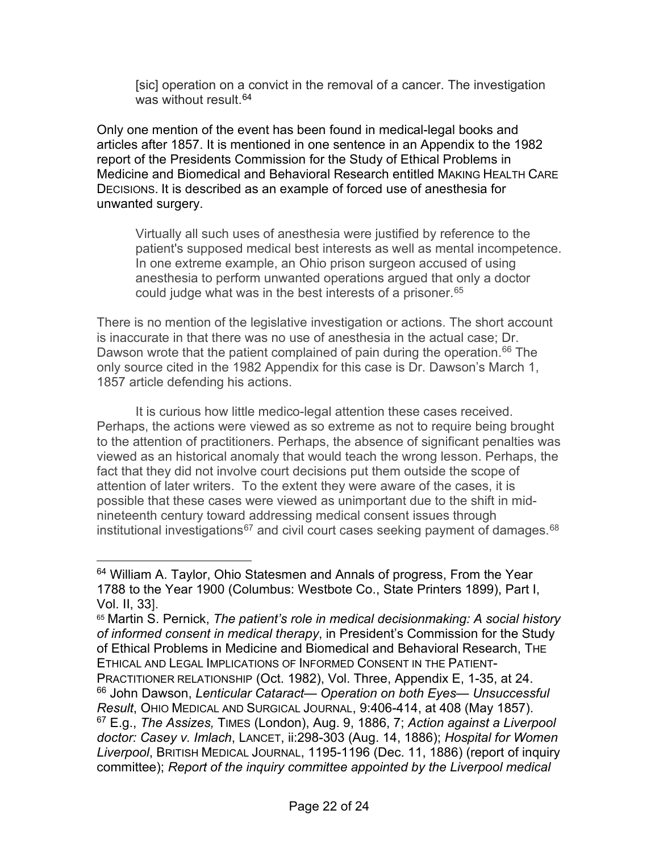[sic] operation on a convict in the removal of a cancer. The investigation was without result  $64$ 

Only one mention of the event has been found in medical-legal books and articles after 1857. It is mentioned in one sentence in an Appendix to the 1982 report of the Presidents Commission for the Study of Ethical Problems in Medicine and Biomedical and Behavioral Research entitled MAKING HEALTH CARE DECISIONS. It is described as an example of forced use of anesthesia for unwanted surgery.

Virtually all such uses of anesthesia were justified by reference to the patient's supposed medical best interests as well as mental incompetence. In one extreme example, an Ohio prison surgeon accused of using anesthesia to perform unwanted operations argued that only a doctor could judge what was in the best interests of a prisoner.<sup>[65](#page-21-1)</sup>

<span id="page-21-4"></span>There is no mention of the legislative investigation or actions. The short account is inaccurate in that there was no use of anesthesia in the actual case; Dr. Dawson wrote that the patient complained of pain during the operation.<sup>[66](#page-21-2)</sup> The only source cited in the 1982 Appendix for this case is Dr. Dawson's March 1, 1857 article defending his actions.

It is curious how little medico-legal attention these cases received. Perhaps, the actions were viewed as so extreme as not to require being brought to the attention of practitioners. Perhaps, the absence of significant penalties was viewed as an historical anomaly that would teach the wrong lesson. Perhaps, the fact that they did not involve court decisions put them outside the scope of attention of later writers. To the extent they were aware of the cases, it is possible that these cases were viewed as unimportant due to the shift in midnineteenth century toward addressing medical consent issues through institutional investigations<sup>[67](#page-21-3)</sup> and civil court cases seeking payment of damages.<sup>[68](#page-21-4)</sup>

<span id="page-21-0"></span><sup>&</sup>lt;sup>64</sup> William A. Taylor, Ohio Statesmen and Annals of progress, From the Year 1788 to the Year 1900 (Columbus: Westbote Co., State Printers 1899), Part I, Vol. II, 33].

<span id="page-21-3"></span><span id="page-21-2"></span><span id="page-21-1"></span><sup>65</sup> Martin S. Pernick, *The patient's role in medical decisionmaking: A social history of informed consent in medical therapy*, in President's Commission for the Study of Ethical Problems in Medicine and Biomedical and Behavioral Research, THE ETHICAL AND LEGAL IMPLICATIONS OF INFORMED CONSENT IN THE PATIENT-PRACTITIONER RELATIONSHIP (Oct. 1982), Vol. Three, Appendix E, 1-35, at 24. <sup>66</sup> John Dawson, *Lenticular Cataract*— *Operation on both Eyes*— *Unsuccessful Result*, OHIO MEDICAL AND SURGICAL JOURNAL, 9:406-414, at 408 (May 1857). <sup>67</sup> E.g., *The Assizes,* TIMES (London), Aug. 9, 1886, 7; *Action against a Liverpool doctor: Casey v. Imlach*, LANCET, ii:298-303 (Aug. 14, 1886); *Hospital for Women Liverpool*, BRITISH MEDICAL JOURNAL, 1195-1196 (Dec. 11, 1886) (report of inquiry committee); *Report of the inquiry committee appointed by the Liverpool medical*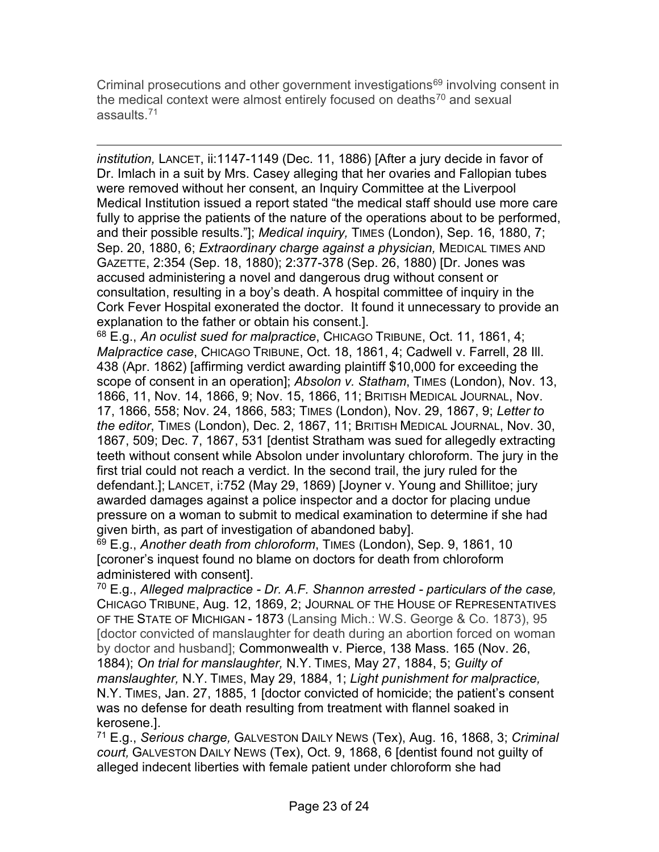Criminal prosecutions and other government investigations<sup>[69](#page-22-0)</sup> involving consent in the medical context were almost entirely focused on deaths<sup>[70](#page-22-1)</sup> and sexual assaults.[71](#page-22-2)

*institution,* LANCET, ii:1147-1149 (Dec. 11, 1886) [After a jury decide in favor of Dr. Imlach in a suit by Mrs. Casey alleging that her ovaries and Fallopian tubes were removed without her consent, an Inquiry Committee at the Liverpool Medical Institution issued a report stated "the medical staff should use more care fully to apprise the patients of the nature of the operations about to be performed, and their possible results."]; *Medical inquiry,* TIMES (London), Sep. 16, 1880, 7; Sep. 20, 1880, 6; *Extraordinary charge against a physician,* MEDICAL TIMES AND GAZETTE, 2:354 (Sep. 18, 1880); 2:377-378 (Sep. 26, 1880) [Dr. Jones was accused administering a novel and dangerous drug without consent or consultation, resulting in a boy's death. A hospital committee of inquiry in the Cork Fever Hospital exonerated the doctor. It found it unnecessary to provide an explanation to the father or obtain his consent.].

<sup>68</sup> E.g., *An oculist sued for malpractice*, CHICAGO TRIBUNE, Oct. 11, 1861, 4; *Malpractice case*, CHICAGO TRIBUNE, Oct. 18, 1861, 4; Cadwell v. Farrell, 28 Ill. 438 (Apr. 1862) [affirming verdict awarding plaintiff \$10,000 for exceeding the scope of consent in an operation]; *Absolon v. Statham*, TIMES (London), Nov. 13, 1866, 11, Nov. 14, 1866, 9; Nov. 15, 1866, 11; BRITISH MEDICAL JOURNAL, Nov. 17, 1866, 558; Nov. 24, 1866, 583; TIMES (London), Nov. 29, 1867, 9; *Letter to the editor*, TIMES (London), Dec. 2, 1867, 11; BRITISH MEDICAL JOURNAL, Nov. 30, 1867, 509; Dec. 7, 1867, 531 [dentist Stratham was sued for allegedly extracting teeth without consent while Absolon under involuntary chloroform. The jury in the first trial could not reach a verdict. In the second trail, the jury ruled for the defendant.]; LANCET, i:752 (May 29, 1869) [Joyner v. Young and Shillitoe; jury awarded damages against a police inspector and a doctor for placing undue pressure on a woman to submit to medical examination to determine if she had given birth, as part of investigation of abandoned baby].

<span id="page-22-0"></span><sup>69</sup> E.g., *Another death from chloroform*, TIMES (London), Sep. 9, 1861, 10 [coroner's inquest found no blame on doctors for death from chloroform administered with consent].

<span id="page-22-1"></span><sup>70</sup> E.g., *Alleged malpractice - Dr. A.F. Shannon arrested - particulars of the case,* CHICAGO TRIBUNE, Aug. 12, 1869, 2; JOURNAL OF THE HOUSE OF REPRESENTATIVES OF THE STATE OF MICHIGAN - 1873 (Lansing Mich.: W.S. George & Co. 1873), 95 [doctor convicted of manslaughter for death during an abortion forced on woman by doctor and husband]; Commonwealth v. Pierce, 138 Mass. 165 (Nov. 26, 1884); *On trial for manslaughter,* N.Y. TIMES, May 27, 1884, 5; *Guilty of manslaughter,* N.Y. TIMES, May 29, 1884, 1; *Light punishment for malpractice,*  N.Y. TIMES, Jan. 27, 1885, 1 [doctor convicted of homicide; the patient's consent was no defense for death resulting from treatment with flannel soaked in kerosene.].

<span id="page-22-2"></span><sup>71</sup> E.g., *Serious charge,* GALVESTON DAILY NEWS (Tex), Aug. 16, 1868, 3; *Criminal court,* GALVESTON DAILY NEWS (Tex), Oct. 9, 1868, 6 [dentist found not guilty of alleged indecent liberties with female patient under chloroform she had